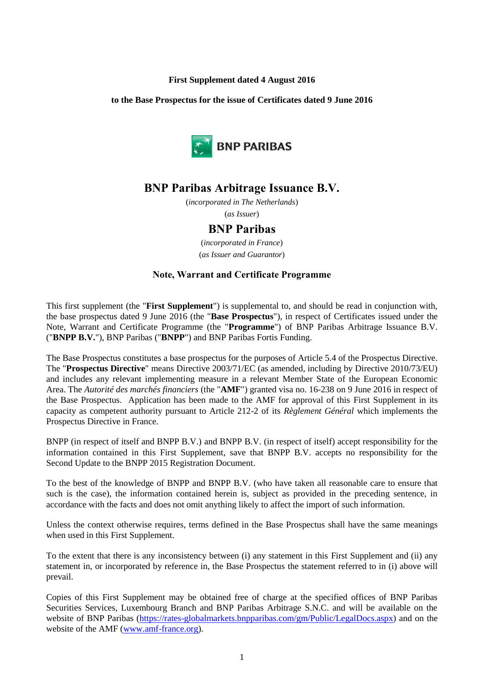## **First Supplement dated 4 August 2016**

#### **to the Base Prospectus for the issue of Certificates dated 9 June 2016**



# **BNP Paribas Arbitrage Issuance B.V.**

(*incorporated in The Netherlands*) (*as Issuer*)

# **BNP Paribas**

(*incorporated in France*) (*as Issuer and Guarantor*)

## **Note, Warrant and Certificate Programme**

This first supplement (the "**First Supplement**") is supplemental to, and should be read in conjunction with, the base prospectus dated 9 June 2016 (the "**Base Prospectus**"), in respect of Certificates issued under the Note, Warrant and Certificate Programme (the "**Programme**") of BNP Paribas Arbitrage Issuance B.V. ("**BNPP B.V.**"), BNP Paribas ("**BNPP**") and BNP Paribas Fortis Funding.

The Base Prospectus constitutes a base prospectus for the purposes of Article 5.4 of the Prospectus Directive. The "**Prospectus Directive**" means Directive 2003/71/EC (as amended, including by Directive 2010/73/EU) and includes any relevant implementing measure in a relevant Member State of the European Economic Area. The *Autorité des marchés financiers* (the "**AMF**") granted visa no. 16-238 on 9 June 2016 in respect of the Base Prospectus. Application has been made to the AMF for approval of this First Supplement in its capacity as competent authority pursuant to Article 212-2 of its *Règlement Général* which implements the Prospectus Directive in France.

BNPP (in respect of itself and BNPP B.V.) and BNPP B.V. (in respect of itself) accept responsibility for the information contained in this First Supplement, save that BNPP B.V. accepts no responsibility for the Second Update to the BNPP 2015 Registration Document.

To the best of the knowledge of BNPP and BNPP B.V. (who have taken all reasonable care to ensure that such is the case), the information contained herein is, subject as provided in the preceding sentence, in accordance with the facts and does not omit anything likely to affect the import of such information.

Unless the context otherwise requires, terms defined in the Base Prospectus shall have the same meanings when used in this First Supplement.

To the extent that there is any inconsistency between (i) any statement in this First Supplement and (ii) any statement in, or incorporated by reference in, the Base Prospectus the statement referred to in (i) above will prevail.

Copies of this First Supplement may be obtained free of charge at the specified offices of BNP Paribas Securities Services, Luxembourg Branch and BNP Paribas Arbitrage S.N.C. and will be available on the website of BNP Paribas [\(https://rates-globalmarkets.bnpparibas.com/gm/Public/LegalDocs.aspx\)](https://rates-globalmarkets.bnpparibas.com/gm/Public/LegalDocs.aspx) and on the website of the AMF [\(www.amf-france.org\)](http://www.amf-france.org/).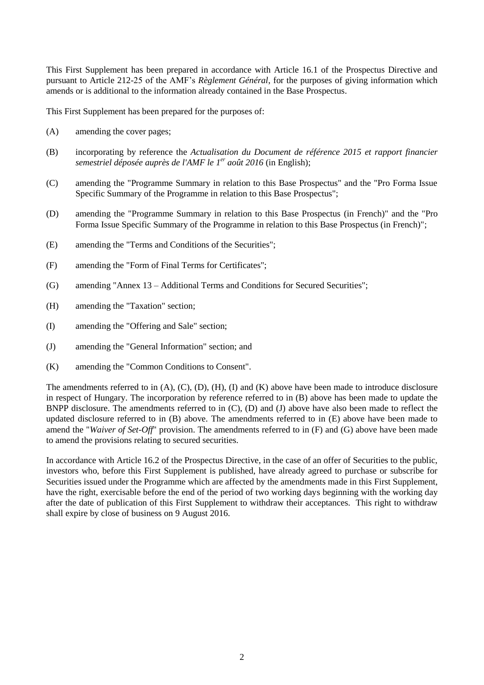This First Supplement has been prepared in accordance with Article 16.1 of the Prospectus Directive and pursuant to Article 212-25 of the AMF's *Règlement Général*, for the purposes of giving information which amends or is additional to the information already contained in the Base Prospectus.

This First Supplement has been prepared for the purposes of:

- (A) amending the cover pages;
- (B) incorporating by reference the *Actualisation du Document de référence 2015 et rapport financier semestriel déposée auprès de l'AMF le 1 er août 2016* (in English);
- (C) amending the "Programme Summary in relation to this Base Prospectus" and the "Pro Forma Issue Specific Summary of the Programme in relation to this Base Prospectus";
- (D) amending the "Programme Summary in relation to this Base Prospectus (in French)" and the "Pro Forma Issue Specific Summary of the Programme in relation to this Base Prospectus (in French)";
- (E) amending the "Terms and Conditions of the Securities";
- (F) amending the "Form of Final Terms for Certificates";
- (G) amending "Annex 13 Additional Terms and Conditions for Secured Securities";
- (H) amending the "Taxation" section;
- (I) amending the "Offering and Sale" section;
- (J) amending the "General Information" section; and
- (K) amending the "Common Conditions to Consent".

The amendments referred to in (A), (C), (D), (H), (I) and (K) above have been made to introduce disclosure in respect of Hungary. The incorporation by reference referred to in (B) above has been made to update the BNPP disclosure. The amendments referred to in (C), (D) and (J) above have also been made to reflect the updated disclosure referred to in (B) above. The amendments referred to in (E) above have been made to amend the "*Waiver of Set-Off*" provision. The amendments referred to in (F) and (G) above have been made to amend the provisions relating to secured securities.

In accordance with Article 16.2 of the Prospectus Directive, in the case of an offer of Securities to the public, investors who, before this First Supplement is published, have already agreed to purchase or subscribe for Securities issued under the Programme which are affected by the amendments made in this First Supplement, have the right, exercisable before the end of the period of two working days beginning with the working day after the date of publication of this First Supplement to withdraw their acceptances. This right to withdraw shall expire by close of business on 9 August 2016.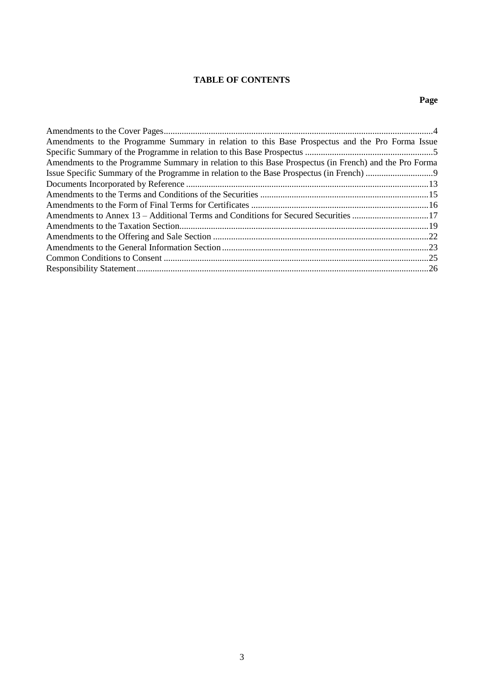# **TABLE OF CONTENTS**

# **Page**

| Amendments to the Programme Summary in relation to this Base Prospectus and the Pro Forma Issue       |  |
|-------------------------------------------------------------------------------------------------------|--|
|                                                                                                       |  |
| Amendments to the Programme Summary in relation to this Base Prospectus (in French) and the Pro Forma |  |
|                                                                                                       |  |
|                                                                                                       |  |
|                                                                                                       |  |
|                                                                                                       |  |
| Amendments to Annex 13 – Additional Terms and Conditions for Secured Securities 17                    |  |
|                                                                                                       |  |
|                                                                                                       |  |
|                                                                                                       |  |
|                                                                                                       |  |
|                                                                                                       |  |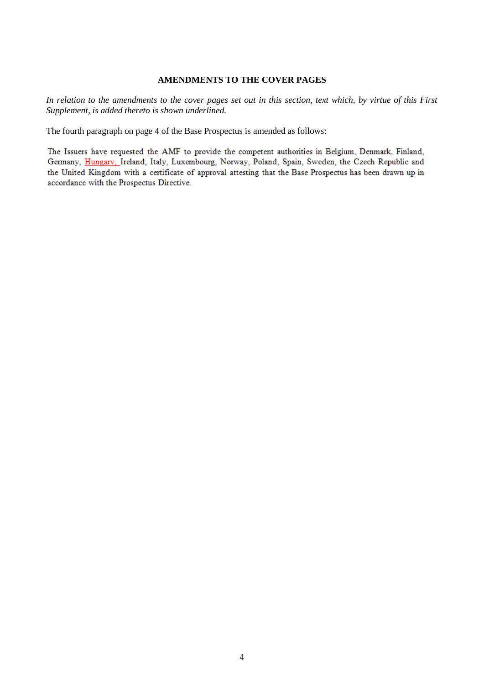#### **AMENDMENTS TO THE COVER PAGES**

*In relation to the amendments to the cover pages set out in this section, text which, by virtue of this First Supplement, is added thereto is shown underlined.*

The fourth paragraph on page 4 of the Base Prospectus is amended as follows:

The Issuers have requested the AMF to provide the competent authorities in Belgium, Denmark, Finland, Germany, Hungary, Ireland, Italy, Luxembourg, Norway, Poland, Spain, Sweden, the Czech Republic and the United Kingdom with a certificate of approval attesting that the Base Prospectus has been drawn up in accordance with the Prospectus Directive.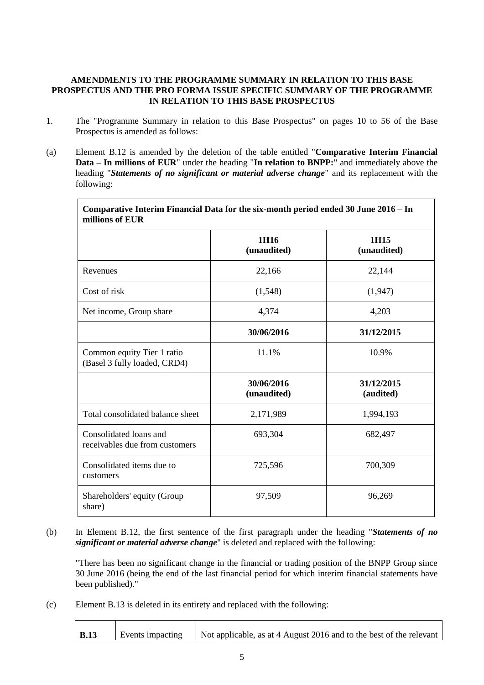## **AMENDMENTS TO THE PROGRAMME SUMMARY IN RELATION TO THIS BASE PROSPECTUS AND THE PRO FORMA ISSUE SPECIFIC SUMMARY OF THE PROGRAMME IN RELATION TO THIS BASE PROSPECTUS**

- 1. The "Programme Summary in relation to this Base Prospectus" on pages 10 to 56 of the Base Prospectus is amended as follows:
- (a) Element B.12 is amended by the deletion of the table entitled "**Comparative Interim Financial Data – In millions of EUR**" under the heading "**In relation to BNPP:**" and immediately above the heading "*Statements of no significant or material adverse change*" and its replacement with the following:

| Comparative Interim Financial Data for the six-month period ended 30 June 2016 – In<br>millions of EUR |                           |                         |
|--------------------------------------------------------------------------------------------------------|---------------------------|-------------------------|
|                                                                                                        | 1H16<br>(unaudited)       | 1H15<br>(unaudited)     |
| Revenues                                                                                               | 22,166                    | 22,144                  |
| Cost of risk                                                                                           | (1,548)                   | (1,947)                 |
| Net income, Group share                                                                                | 4,374                     | 4,203                   |
|                                                                                                        | 30/06/2016                | 31/12/2015              |
| Common equity Tier 1 ratio<br>(Basel 3 fully loaded, CRD4)                                             | 11.1%                     | 10.9%                   |
|                                                                                                        | 30/06/2016<br>(unaudited) | 31/12/2015<br>(audited) |
| Total consolidated balance sheet                                                                       | 2,171,989                 | 1,994,193               |
| Consolidated loans and<br>receivables due from customers                                               | 693,304                   | 682,497                 |
| Consolidated items due to<br>customers                                                                 | 725,596                   | 700,309                 |
| Shareholders' equity (Group<br>share)                                                                  | 97,509                    | 96,269                  |

(b) In Element B.12, the first sentence of the first paragraph under the heading "*Statements of no significant or material adverse change*" is deleted and replaced with the following:

"There has been no significant change in the financial or trading position of the BNPP Group since 30 June 2016 (being the end of the last financial period for which interim financial statements have been published)."

(c) Element B.13 is deleted in its entirety and replaced with the following:

| B.13 | Events impacting   Not applicable, as at 4 August 2016 and to the best of the relevant |
|------|----------------------------------------------------------------------------------------|
|      |                                                                                        |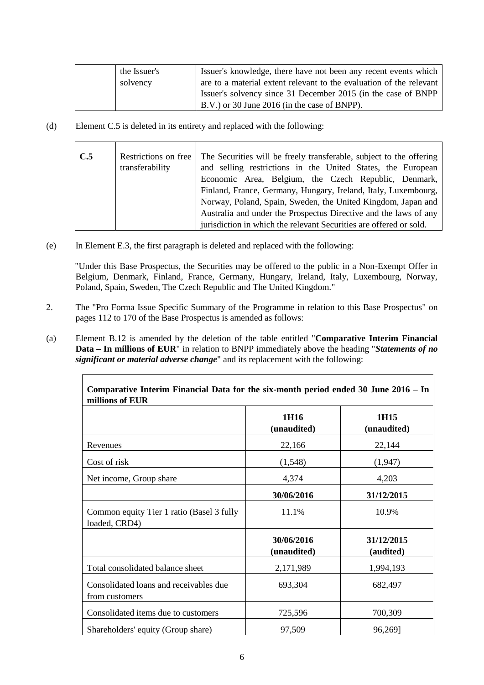| the Issuer's | Issuer's knowledge, there have not been any recent events which     |
|--------------|---------------------------------------------------------------------|
| solvency     | are to a material extent relevant to the evaluation of the relevant |
|              | Issuer's solvency since 31 December 2015 (in the case of BNPP       |
|              | B.V.) or 30 June 2016 (in the case of BNPP).                        |

(d) Element C.5 is deleted in its entirety and replaced with the following:

| C.5 | Restrictions on free. | The Securities will be freely transferable, subject to the offering |  |
|-----|-----------------------|---------------------------------------------------------------------|--|
|     | transferability       | and selling restrictions in the United States, the European         |  |
|     |                       | Economic Area, Belgium, the Czech Republic, Denmark,                |  |
|     |                       | Finland, France, Germany, Hungary, Ireland, Italy, Luxembourg,      |  |
|     |                       | Norway, Poland, Spain, Sweden, the United Kingdom, Japan and        |  |
|     |                       | Australia and under the Prospectus Directive and the laws of any    |  |
|     |                       | jurisdiction in which the relevant Securities are offered or sold.  |  |

(e) In Element E.3, the first paragraph is deleted and replaced with the following:

"Under this Base Prospectus, the Securities may be offered to the public in a Non-Exempt Offer in Belgium, Denmark, Finland, France, Germany, Hungary, Ireland, Italy, Luxembourg, Norway, Poland, Spain, Sweden, The Czech Republic and The United Kingdom."

- 2. The "Pro Forma Issue Specific Summary of the Programme in relation to this Base Prospectus" on pages 112 to 170 of the Base Prospectus is amended as follows:
- (a) Element B.12 is amended by the deletion of the table entitled "**Comparative Interim Financial Data – In millions of EUR**" in relation to BNPP immediately above the heading "*Statements of no significant or material adverse change*" and its replacement with the following:

| Comparative Interim Financial Data for the six-month period ended 30 June 2016 – In<br>millions of EUR |                           |                         |
|--------------------------------------------------------------------------------------------------------|---------------------------|-------------------------|
|                                                                                                        | 1H16<br>(unaudited)       | 1H15<br>(unaudited)     |
| Revenues                                                                                               | 22,166                    | 22,144                  |
| Cost of risk                                                                                           | (1,548)                   | (1,947)                 |
| Net income, Group share                                                                                | 4,374                     | 4,203                   |
|                                                                                                        | 30/06/2016                | 31/12/2015              |
| Common equity Tier 1 ratio (Basel 3 fully<br>loaded, CRD4)                                             | 11.1%                     | 10.9%                   |
|                                                                                                        | 30/06/2016<br>(unaudited) | 31/12/2015<br>(audited) |
| Total consolidated balance sheet                                                                       | 2,171,989                 | 1,994,193               |
| Consolidated loans and receivables due<br>from customers                                               | 693,304                   | 682,497                 |
| Consolidated items due to customers                                                                    | 725,596                   | 700,309                 |
| Shareholders' equity (Group share)                                                                     | 97,509                    | 96,269]                 |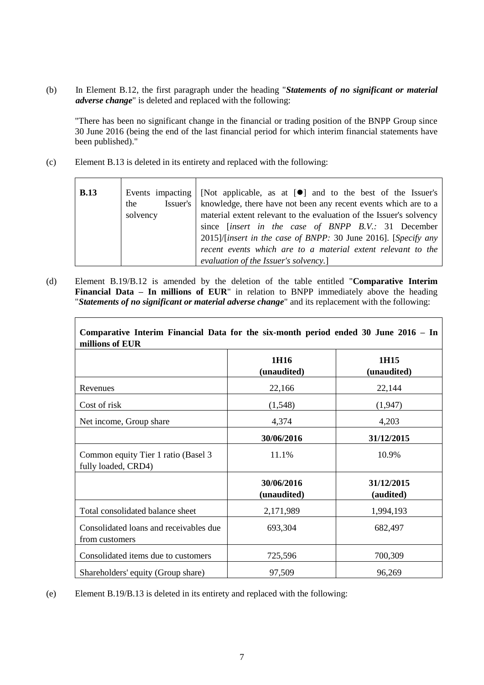(b) In Element B.12, the first paragraph under the heading "*Statements of no significant or material adverse change*" is deleted and replaced with the following:

"There has been no significant change in the financial or trading position of the BNPP Group since 30 June 2016 (being the end of the last financial period for which interim financial statements have been published)."

(c) Element B.13 is deleted in its entirety and replaced with the following:

| <b>B.13</b> | the<br>solvency | Events impacting   [Not applicable, as at $[\bullet]$ and to the best of the Issuer's<br>Issuer's   knowledge, there have not been any recent events which are to a<br>material extent relevant to the evaluation of the Issuer's solvency<br>since <i>[insert in the case of BNPP B.V.</i> : 31 December<br>2015)/[insert in the case of BNPP: 30 June 2016]. [Specify any<br>recent events which are to a material extent relevant to the |
|-------------|-----------------|---------------------------------------------------------------------------------------------------------------------------------------------------------------------------------------------------------------------------------------------------------------------------------------------------------------------------------------------------------------------------------------------------------------------------------------------|
|             |                 | evaluation of the Issuer's solvency.]                                                                                                                                                                                                                                                                                                                                                                                                       |

(d) Element B.19/B.12 is amended by the deletion of the table entitled "**Comparative Interim Financial Data – In millions of EUR**" in relation to BNPP immediately above the heading "*Statements of no significant or material adverse change*" and its replacement with the following:

| Comparative Interim Financial Data for the six-month period ended 30 June 2016 – In |                           |                         |
|-------------------------------------------------------------------------------------|---------------------------|-------------------------|
| millions of EUR                                                                     |                           |                         |
|                                                                                     | 1H16<br>(unaudited)       | 1H15<br>(unaudited)     |
| Revenues                                                                            | 22,166                    | 22,144                  |
| Cost of risk                                                                        | (1,548)                   | (1, 947)                |
| Net income, Group share                                                             | 4,374                     | 4,203                   |
|                                                                                     | 30/06/2016                | 31/12/2015              |
| Common equity Tier 1 ratio (Basel 3<br>fully loaded, CRD4)                          | 11.1%                     | 10.9%                   |
|                                                                                     | 30/06/2016<br>(unaudited) | 31/12/2015<br>(audited) |
| Total consolidated balance sheet                                                    | 2,171,989                 | 1,994,193               |
| Consolidated loans and receivables due<br>from customers                            | 693,304                   | 682,497                 |
| Consolidated items due to customers                                                 | 725,596                   | 700,309                 |
| Shareholders' equity (Group share)                                                  | 97,509                    | 96,269                  |

**Comparative Interim Financial Data for the six-month period ended 30 June 2016 – In** 

(e) Element B.19/B.13 is deleted in its entirety and replaced with the following: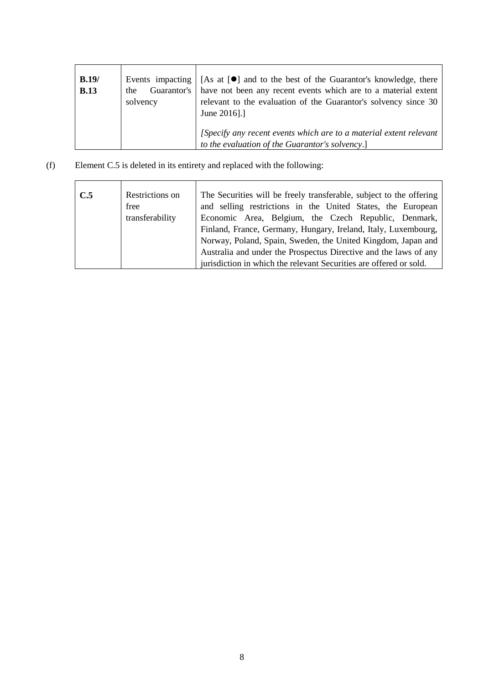| B.19/<br><b>B.13</b> | solvency | Events impacting $\vert$ [As at $\vert \bullet \vert$ ] and to the best of the Guarantor's knowledge, there<br>the Guarantor's have not been any recent events which are to a material extent<br>relevant to the evaluation of the Guarantor's solvency since 30<br>June 2016].] |
|----------------------|----------|----------------------------------------------------------------------------------------------------------------------------------------------------------------------------------------------------------------------------------------------------------------------------------|
|                      |          | [Specify any recent events which are to a material extent relevant<br>to the evaluation of the Guarantor's solvency.]                                                                                                                                                            |

(f) Element C.5 is deleted in its entirety and replaced with the following:

ř.

| C.5 | Restrictions on | The Securities will be freely transferable, subject to the offering |  |
|-----|-----------------|---------------------------------------------------------------------|--|
|     | free            | and selling restrictions in the United States, the European         |  |
|     | transferability | Economic Area, Belgium, the Czech Republic, Denmark,                |  |
|     |                 | Finland, France, Germany, Hungary, Ireland, Italy, Luxembourg,      |  |
|     |                 | Norway, Poland, Spain, Sweden, the United Kingdom, Japan and        |  |
|     |                 | Australia and under the Prospectus Directive and the laws of any    |  |
|     |                 | jurisdiction in which the relevant Securities are offered or sold.  |  |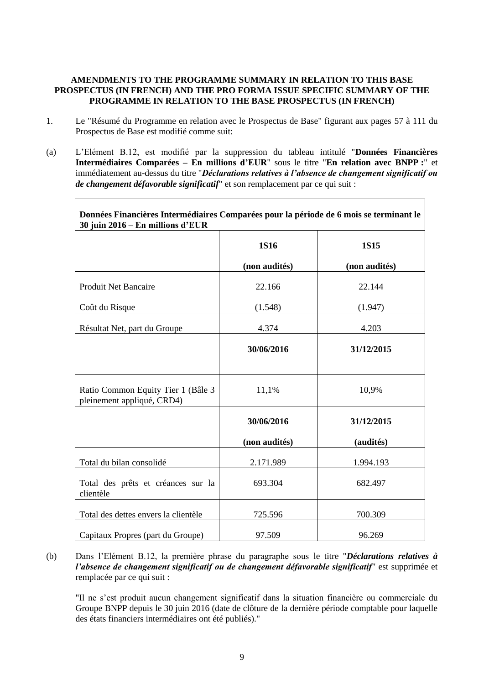## **AMENDMENTS TO THE PROGRAMME SUMMARY IN RELATION TO THIS BASE PROSPECTUS (IN FRENCH) AND THE PRO FORMA ISSUE SPECIFIC SUMMARY OF THE PROGRAMME IN RELATION TO THE BASE PROSPECTUS (IN FRENCH)**

- 1. Le "Résumé du Programme en relation avec le Prospectus de Base" figurant aux pages 57 à 111 du Prospectus de Base est modifié comme suit:
- (a) L'Elément B.12, est modifié par la suppression du tableau intitulé "**Données Financières Intermédiaires Comparées – En millions d'EUR**" sous le titre "**En relation avec BNPP :**" et immédiatement au-dessus du titre "*Déclarations relatives à l'absence de changement significatif ou de changement défavorable significatif*" et son remplacement par ce qui suit :

| Données Financières Intermédiaires Comparées pour la période de 6 mois se terminant le<br>30 juin 2016 – En millions d'EUR |                             |                         |
|----------------------------------------------------------------------------------------------------------------------------|-----------------------------|-------------------------|
|                                                                                                                            | <b>1S16</b>                 | <b>1S15</b>             |
|                                                                                                                            | (non audités)               | (non audités)           |
| Produit Net Bancaire                                                                                                       | 22.166                      | 22.144                  |
| Coût du Risque                                                                                                             | (1.548)                     | (1.947)                 |
| Résultat Net, part du Groupe                                                                                               | 4.374                       | 4.203                   |
|                                                                                                                            | 30/06/2016                  | 31/12/2015              |
| Ratio Common Equity Tier 1 (Bâle 3)<br>pleinement appliqué, CRD4)                                                          | 11,1%                       | 10,9%                   |
|                                                                                                                            | 30/06/2016<br>(non audités) | 31/12/2015<br>(audités) |
|                                                                                                                            |                             |                         |
| Total du bilan consolidé                                                                                                   | 2.171.989                   | 1.994.193               |
| Total des prêts et créances sur la<br>clientèle                                                                            | 693.304                     | 682.497                 |
| Total des dettes envers la clientèle                                                                                       | 725.596                     | 700.309                 |
| Capitaux Propres (part du Groupe)                                                                                          | 97.509                      | 96.269                  |

(b) Dans l'Elément B.12, la première phrase du paragraphe sous le titre "*Déclarations relatives à l'absence de changement significatif ou de changement défavorable significatif*" est supprimée et remplacée par ce qui suit :

"Il ne s'est produit aucun changement significatif dans la situation financière ou commerciale du Groupe BNPP depuis le 30 juin 2016 (date de clôture de la dernière période comptable pour laquelle des états financiers intermédiaires ont été publiés)."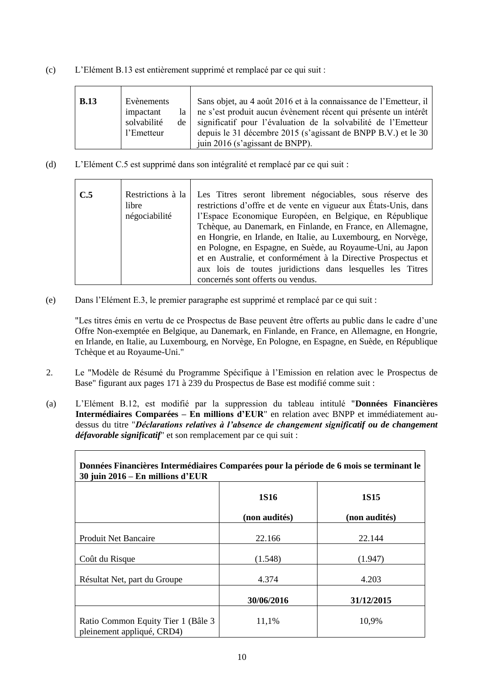(c) L'Elément B.13 est entièrement supprimé et remplacé par ce qui suit :

| <b>B.13</b> | Evènements<br>impactant<br>la<br>solvabilité<br>de<br>l'Emetteur | Sans objet, au 4 août 2016 et à la connaissance de l'Emetteur, il<br>ne s'est produit aucun évènement récent qui présente un intérêt<br>significatif pour l'évaluation de la solvabilité de l'Emetteur<br>depuis le 31 décembre 2015 (s'agissant de BNPP B.V.) et le 30<br>juin 2016 (s'agissant de BNPP). |
|-------------|------------------------------------------------------------------|------------------------------------------------------------------------------------------------------------------------------------------------------------------------------------------------------------------------------------------------------------------------------------------------------------|
|-------------|------------------------------------------------------------------|------------------------------------------------------------------------------------------------------------------------------------------------------------------------------------------------------------------------------------------------------------------------------------------------------------|

(d) L'Elément C.5 est supprimé dans son intégralité et remplacé par ce qui suit :

| C.5 | Restrictions à la<br>libre<br>négociabilité | Les Titres seront librement négociables, sous réserve des<br>restrictions d'offre et de vente en vigueur aux États-Unis, dans<br>l'Espace Economique Européen, en Belgique, en République<br>Tchèque, au Danemark, en Finlande, en France, en Allemagne,<br>en Hongrie, en Irlande, en Italie, au Luxembourg, en Norvège,<br>en Pologne, en Espagne, en Suède, au Royaume-Uni, au Japon<br>et en Australie, et conformément à la Directive Prospectus et |
|-----|---------------------------------------------|----------------------------------------------------------------------------------------------------------------------------------------------------------------------------------------------------------------------------------------------------------------------------------------------------------------------------------------------------------------------------------------------------------------------------------------------------------|
|     |                                             | aux lois de toutes juridictions dans lesquelles les Titres<br>concernés sont offerts ou vendus.                                                                                                                                                                                                                                                                                                                                                          |

(e) Dans l'Elément E.3, le premier paragraphe est supprimé et remplacé par ce qui suit :

"Les titres émis en vertu de ce Prospectus de Base peuvent être offerts au public dans le cadre d'une Offre Non-exemptée en Belgique, au Danemark, en Finlande, en France, en Allemagne, en Hongrie, en Irlande, en Italie, au Luxembourg, en Norvège, En Pologne, en Espagne, en Suède, en République Tchèque et au Royaume-Uni."

- 2. Le "Modèle de Résumé du Programme Spécifique à l'Emission en relation avec le Prospectus de Base" figurant aux pages 171 à 239 du Prospectus de Base est modifié comme suit :
- (a) L'Elément B.12, est modifié par la suppression du tableau intitulé "**Données Financières Intermédiaires Comparées – En millions d'EUR**" en relation avec BNPP et immédiatement audessus du titre "*Déclarations relatives à l'absence de changement significatif ou de changement défavorable significatif*" et son remplacement par ce qui suit :

| Données Financières Intermédiaires Comparées pour la période de 6 mois se terminant le<br>30 juin $2016 - En$ millions d'EUR |               |               |  |  |
|------------------------------------------------------------------------------------------------------------------------------|---------------|---------------|--|--|
|                                                                                                                              | <b>1S16</b>   | <b>1S15</b>   |  |  |
|                                                                                                                              | (non audités) | (non audités) |  |  |
| Produit Net Bancaire                                                                                                         | 22.166        | 22.144        |  |  |
| Coût du Risque                                                                                                               | (1.548)       | (1.947)       |  |  |
| Résultat Net, part du Groupe                                                                                                 | 4.374         | 4.203         |  |  |
|                                                                                                                              | 30/06/2016    | 31/12/2015    |  |  |
| Ratio Common Equity Tier 1 (Bâle 3)<br>pleinement appliqué, CRD4)                                                            | 11,1%         | 10,9%         |  |  |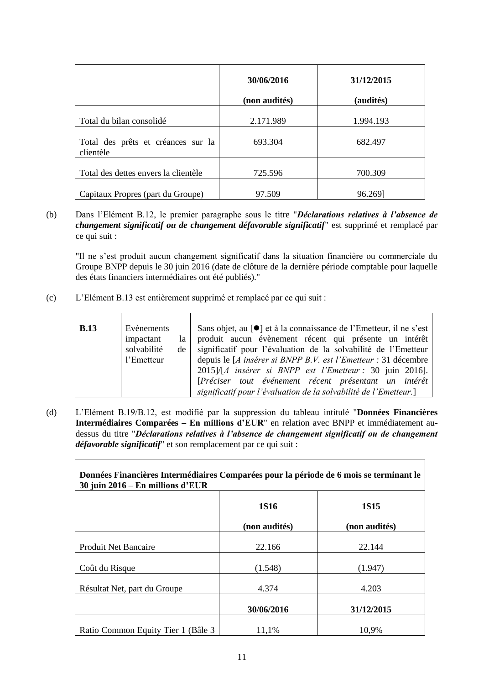|                                                 | 30/06/2016    | 31/12/2015 |
|-------------------------------------------------|---------------|------------|
|                                                 | (non audités) | (audités)  |
| Total du bilan consolidé                        | 2.171.989     | 1.994.193  |
| Total des prêts et créances sur la<br>clientèle | 693.304       | 682.497    |
| Total des dettes envers la clientèle            | 725.596       | 700.309    |
| Capitaux Propres (part du Groupe)               | 97.509        | 96.2691    |

(b) Dans l'Elément B.12, le premier paragraphe sous le titre "*Déclarations relatives à l'absence de changement significatif ou de changement défavorable significatif*" est supprimé et remplacé par ce qui suit :

"Il ne s'est produit aucun changement significatif dans la situation financière ou commerciale du Groupe BNPP depuis le 30 juin 2016 (date de clôture de la dernière période comptable pour laquelle des états financiers intermédiaires ont été publiés)."

(c) L'Elément B.13 est entièrement supprimé et remplacé par ce qui suit :

Г

| <b>B.13</b> | Evènements<br>impactant<br>la<br>solvabilité<br>de<br>l'Emetteur | Sans objet, au [●] et à la connaissance de l'Emetteur, il ne s'est<br>produit aucun évènement récent qui présente un intérêt<br>significatif pour l'évaluation de la solvabilité de l'Emetteur<br>depuis le [A insérer si BNPP B.V. est l'Emetteur : 31 décembre<br>$2015$ ]/[A insérer si BNPP est l'Emetteur : 30 juin 2016].<br>[Préciser tout événement récent présentant un intérêt |
|-------------|------------------------------------------------------------------|------------------------------------------------------------------------------------------------------------------------------------------------------------------------------------------------------------------------------------------------------------------------------------------------------------------------------------------------------------------------------------------|
|             |                                                                  | significatif pour l'évaluation de la solvabilité de l'Emetteur.]                                                                                                                                                                                                                                                                                                                         |

(d) L'Elément B.19/B.12, est modifié par la suppression du tableau intitulé "**Données Financières Intermédiaires Comparées – En millions d'EUR**" en relation avec BNPP et immédiatement audessus du titre "*Déclarations relatives à l'absence de changement significatif ou de changement défavorable significatif*" et son remplacement par ce qui suit :

٦

| Données Financières Intermédiaires Comparées pour la période de 6 mois se terminant le<br>30 juin $2016 - En$ millions d'EUR |               |               |  |  |
|------------------------------------------------------------------------------------------------------------------------------|---------------|---------------|--|--|
|                                                                                                                              | <b>1S16</b>   | <b>1S15</b>   |  |  |
|                                                                                                                              | (non audités) | (non audités) |  |  |
| <b>Produit Net Bancaire</b>                                                                                                  | 22.166        | 22.144        |  |  |
| Coût du Risque                                                                                                               | (1.548)       | (1.947)       |  |  |
| Résultat Net, part du Groupe                                                                                                 | 4.374         | 4.203         |  |  |
|                                                                                                                              | 30/06/2016    | 31/12/2015    |  |  |
| Ratio Common Equity Tier 1 (Bâle 3)                                                                                          | 11,1%         | 10.9%         |  |  |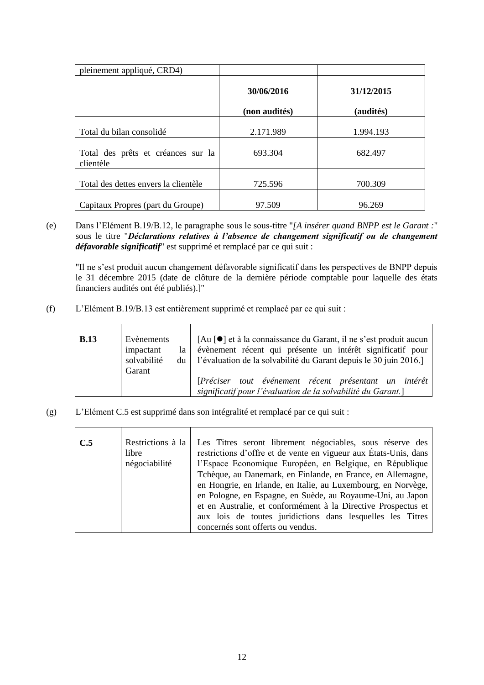| pleinement appliqué, CRD4)                      |                             |                         |
|-------------------------------------------------|-----------------------------|-------------------------|
|                                                 | 30/06/2016<br>(non audités) | 31/12/2015<br>(audités) |
| Total du bilan consolidé                        | 2.171.989                   | 1.994.193               |
| Total des prêts et créances sur la<br>clientèle | 693.304                     | 682.497                 |
| Total des dettes envers la clientèle            | 725.596                     | 700.309                 |
| Capitaux Propres (part du Groupe)               | 97.509                      | 96.269                  |

(e) Dans l'Elément B.19/B.12, le paragraphe sous le sous-titre "*[A insérer quand BNPP est le Garant :*" sous le titre "*Déclarations relatives à l'absence de changement significatif ou de changement défavorable significatif*" est supprimé et remplacé par ce qui suit :

"Il ne s'est produit aucun changement défavorable significatif dans les perspectives de BNPP depuis le 31 décembre 2015 (date de clôture de la dernière période comptable pour laquelle des états financiers audités ont été publiés).]"

(f) L'Elément B.19/B.13 est entièrement supprimé et remplacé par ce qui suit :

| <b>B.13</b> | Evènements<br>impactant<br>la<br>solvabilité<br>$du$  <br>Garant | [Au [●] et à la connaissance du Garant, il ne s'est produit aucun<br>évènement récent qui présente un intérêt significatif pour<br>l'évaluation de la solvabilité du Garant depuis le 30 juin 2016. |
|-------------|------------------------------------------------------------------|-----------------------------------------------------------------------------------------------------------------------------------------------------------------------------------------------------|
|             |                                                                  | [Préciser tout événement récent présentant un intérêt<br>significatif pour l'évaluation de la solvabilité du Garant.]                                                                               |

(g) L'Elément C.5 est supprimé dans son intégralité et remplacé par ce qui suit :

| C.5 | Restrictions à la<br>libre<br>négociabilité | Les Titres seront librement négociables, sous réserve des<br>restrictions d'offre et de vente en vigueur aux États-Unis, dans<br>l'Espace Economique Européen, en Belgique, en République  |  |  |
|-----|---------------------------------------------|--------------------------------------------------------------------------------------------------------------------------------------------------------------------------------------------|--|--|
|     |                                             | Tchèque, au Danemark, en Finlande, en France, en Allemagne,<br>en Hongrie, en Irlande, en Italie, au Luxembourg, en Norvège,<br>en Pologne, en Espagne, en Suède, au Royaume-Uni, au Japon |  |  |
|     |                                             | et en Australie, et conformément à la Directive Prospectus et<br>aux lois de toutes juridictions dans lesquelles les Titres<br>concernés sont offerts ou vendus.                           |  |  |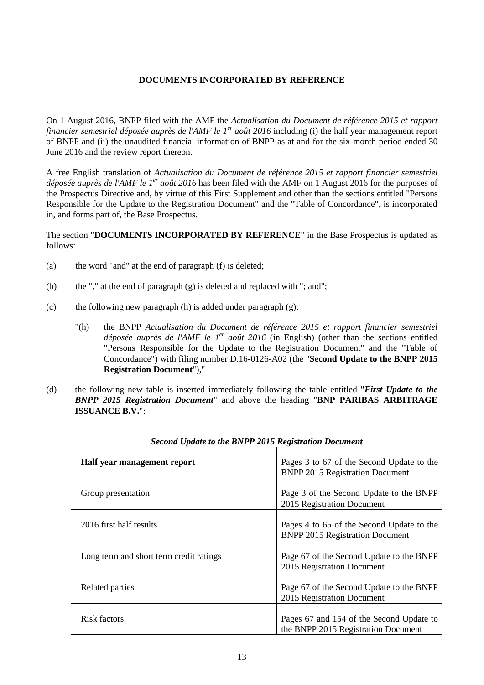## **DOCUMENTS INCORPORATED BY REFERENCE**

On 1 August 2016, BNPP filed with the AMF the *Actualisation du Document de référence 2015 et rapport financier semestriel déposée auprès de l'AMF le 1er août 2016* including (i) the half year management report of BNPP and (ii) the unaudited financial information of BNPP as at and for the six-month period ended 30 June 2016 and the review report thereon.

A free English translation of *Actualisation du Document de référence 2015 et rapport financier semestriel déposée auprès de l'AMF le 1er août 2016* has been filed with the AMF on 1 August 2016 for the purposes of the Prospectus Directive and, by virtue of this First Supplement and other than the sections entitled "Persons Responsible for the Update to the Registration Document" and the "Table of Concordance", is incorporated in, and forms part of, the Base Prospectus.

The section "**DOCUMENTS INCORPORATED BY REFERENCE**" in the Base Prospectus is updated as follows:

- (a) the word "and" at the end of paragraph (f) is deleted;
- (b) the "," at the end of paragraph (g) is deleted and replaced with "; and";
- (c) the following new paragraph (h) is added under paragraph (g):
	- "(h) the BNPP *Actualisation du Document de référence 2015 et rapport financier semestriel déposée auprès de l'AMF le 1<sup>er</sup> août 2016* (in English) (other than the sections entitled "Persons Responsible for the Update to the Registration Document" and the "Table of Concordance") with filing number D.16-0126-A02 (the "**Second Update to the BNPP 2015 Registration Document**"),"
- (d) the following new table is inserted immediately following the table entitled "*First Update to the BNPP 2015 Registration Document*" and above the heading "**BNP PARIBAS ARBITRAGE ISSUANCE B.V.**":

| <b>Second Update to the BNPP 2015 Registration Document</b> |                                                                                     |  |  |  |
|-------------------------------------------------------------|-------------------------------------------------------------------------------------|--|--|--|
| Half year management report                                 | Pages 3 to 67 of the Second Update to the<br><b>BNPP 2015 Registration Document</b> |  |  |  |
| Group presentation                                          | Page 3 of the Second Update to the BNPP<br>2015 Registration Document               |  |  |  |
| 2016 first half results                                     | Pages 4 to 65 of the Second Update to the<br><b>BNPP 2015 Registration Document</b> |  |  |  |
| Long term and short term credit ratings                     | Page 67 of the Second Update to the BNPP<br>2015 Registration Document              |  |  |  |
| Related parties                                             | Page 67 of the Second Update to the BNPP<br>2015 Registration Document              |  |  |  |
| Risk factors                                                | Pages 67 and 154 of the Second Update to<br>the BNPP 2015 Registration Document     |  |  |  |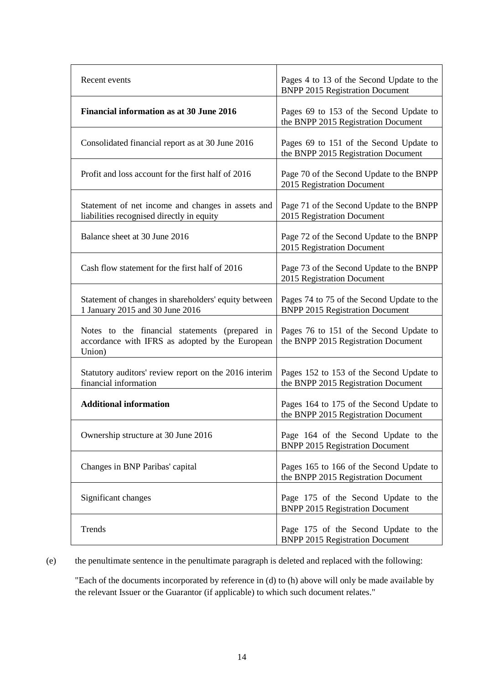| Recent events                                                                                                  | Pages 4 to 13 of the Second Update to the<br><b>BNPP 2015 Registration Document</b>  |  |
|----------------------------------------------------------------------------------------------------------------|--------------------------------------------------------------------------------------|--|
| <b>Financial information as at 30 June 2016</b>                                                                | Pages 69 to 153 of the Second Update to<br>the BNPP 2015 Registration Document       |  |
| Consolidated financial report as at 30 June 2016                                                               | Pages 69 to 151 of the Second Update to<br>the BNPP 2015 Registration Document       |  |
| Profit and loss account for the first half of 2016                                                             | Page 70 of the Second Update to the BNPP<br>2015 Registration Document               |  |
| Statement of net income and changes in assets and<br>liabilities recognised directly in equity                 | Page 71 of the Second Update to the BNPP<br>2015 Registration Document               |  |
| Balance sheet at 30 June 2016                                                                                  | Page 72 of the Second Update to the BNPP<br>2015 Registration Document               |  |
| Cash flow statement for the first half of 2016                                                                 | Page 73 of the Second Update to the BNPP<br>2015 Registration Document               |  |
| Statement of changes in shareholders' equity between<br>1 January 2015 and 30 June 2016                        | Pages 74 to 75 of the Second Update to the<br><b>BNPP 2015 Registration Document</b> |  |
| Notes to the financial statements<br>(prepared in<br>accordance with IFRS as adopted by the European<br>Union) | Pages 76 to 151 of the Second Update to<br>the BNPP 2015 Registration Document       |  |
| Statutory auditors' review report on the 2016 interim<br>financial information                                 | Pages 152 to 153 of the Second Update to<br>the BNPP 2015 Registration Document      |  |
| <b>Additional information</b>                                                                                  | Pages 164 to 175 of the Second Update to<br>the BNPP 2015 Registration Document      |  |
| Ownership structure at 30 June 2016                                                                            | Page 164 of the Second Update to the<br><b>BNPP 2015 Registration Document</b>       |  |
| Changes in BNP Paribas' capital                                                                                | Pages 165 to 166 of the Second Update to<br>the BNPP 2015 Registration Document      |  |
| Significant changes                                                                                            | Page 175 of the Second Update to the<br><b>BNPP 2015 Registration Document</b>       |  |
| Trends                                                                                                         | Page 175 of the Second Update to the<br><b>BNPP 2015 Registration Document</b>       |  |

(e) the penultimate sentence in the penultimate paragraph is deleted and replaced with the following:

"Each of the documents incorporated by reference in (d) to (h) above will only be made available by the relevant Issuer or the Guarantor (if applicable) to which such document relates."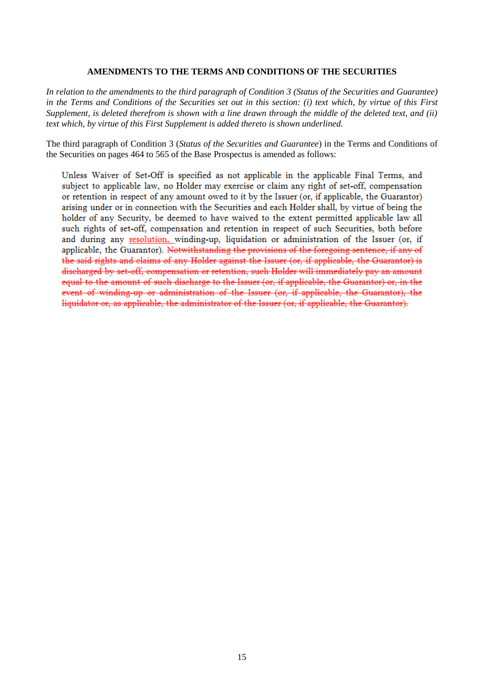#### **AMENDMENTS TO THE TERMS AND CONDITIONS OF THE SECURITIES**

*In relation to the amendments to the third paragraph of Condition 3 (Status of the Securities and Guarantee) in the Terms and Conditions of the Securities set out in this section: (i) text which, by virtue of this First Supplement, is deleted therefrom is shown with a line drawn through the middle of the deleted text, and (ii) text which, by virtue of this First Supplement is added thereto is shown underlined.*

The third paragraph of Condition 3 (*Status of the Securities and Guarantee*) in the Terms and Conditions of the Securities on pages 464 to 565 of the Base Prospectus is amended as follows:

Unless Waiver of Set-Off is specified as not applicable in the applicable Final Terms, and subject to applicable law, no Holder may exercise or claim any right of set-off, compensation or retention in respect of any amount owed to it by the Issuer (or, if applicable, the Guarantor) arising under or in connection with the Securities and each Holder shall, by virtue of being the holder of any Security, be deemed to have waived to the extent permitted applicable law all such rights of set-off, compensation and retention in respect of such Securities, both before and during any resolution, winding-up, liquidation or administration of the Issuer (or, if applicable, the Guarantor). Notwithstanding the provisions of the foregoing sentence, if any of the said rights and claims of any Holder against the Issuer (or, if applicable, the Guarantor) is discharged by set-off, compensation or retention, such Holder will immediately pay an amount equal to the amount of such discharge to the Issuer (or, if applicable, the Guarantor) or, in the event of winding-up or administration of the Issuer (or, if applicable, the Guarantor), the liquidator or, as applicable, the administrator of the Issuer (or, if applicable, the Guarantor).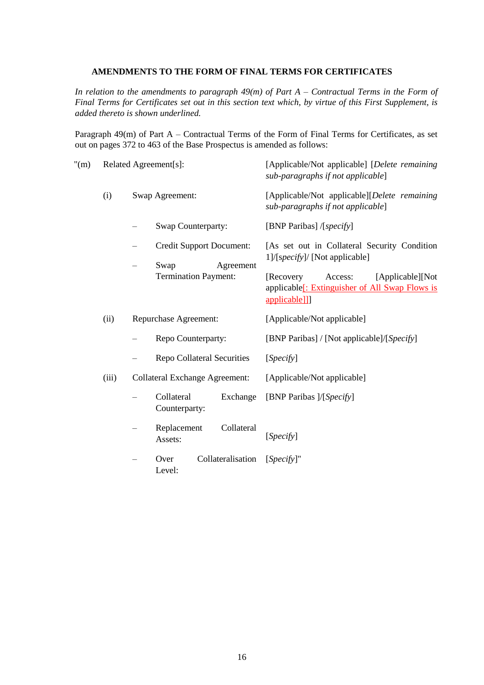### **AMENDMENTS TO THE FORM OF FINAL TERMS FOR CERTIFICATES**

*In relation to the amendments to paragraph 49(m) of Part A – Contractual Terms in the Form of Final Terms for Certificates set out in this section text which, by virtue of this First Supplement, is added thereto is shown underlined.*

Paragraph 49(m) of Part A – Contractual Terms of the Form of Final Terms for Certificates, as set out on pages 372 to 463 of the Base Prospectus is amended as follows:

| $^{\prime\prime}(m)$ | Related Agreement[s]: |                          |                                          | [Applicable/Not applicable] [Delete remaining<br>sub-paragraphs if not applicable]                                        |
|----------------------|-----------------------|--------------------------|------------------------------------------|---------------------------------------------------------------------------------------------------------------------------|
|                      | (i)                   | Swap Agreement:          |                                          | [Applicable/Not applicable][Delete remaining<br>sub-paragraphs if not applicable]                                         |
|                      |                       |                          | Swap Counterparty:                       | [BNP Paribas] /[specify]                                                                                                  |
|                      |                       | $\overline{\phantom{0}}$ | <b>Credit Support Document:</b><br>Swap  | [As set out in Collateral Security Condition<br>1]/[specify]/ [Not applicable]                                            |
|                      |                       |                          | Agreement<br><b>Termination Payment:</b> | Access:<br>[Applicable][Not]<br>[Recovery]<br>applicable <sup>[</sup> : Extinguisher of All Swap Flows is<br>applicable]] |
|                      | (ii)                  | Repurchase Agreement:    |                                          | [Applicable/Not applicable]                                                                                               |
|                      |                       |                          | Repo Counterparty:                       | [BNP Paribas] / [Not applicable]/[Specify]                                                                                |
|                      |                       |                          | <b>Repo Collateral Securities</b>        | [Specify]                                                                                                                 |
|                      | (iii)                 |                          | <b>Collateral Exchange Agreement:</b>    | [Applicable/Not applicable]                                                                                               |
|                      |                       |                          | Collateral<br>Exchange<br>Counterparty:  | [BNP Paribas ]/[Specify]                                                                                                  |
|                      |                       |                          | Replacement<br>Collateral<br>Assets:     | [Specify]                                                                                                                 |
|                      |                       |                          | Collateralisation<br>Over<br>Level:      | $[Specify]$ "                                                                                                             |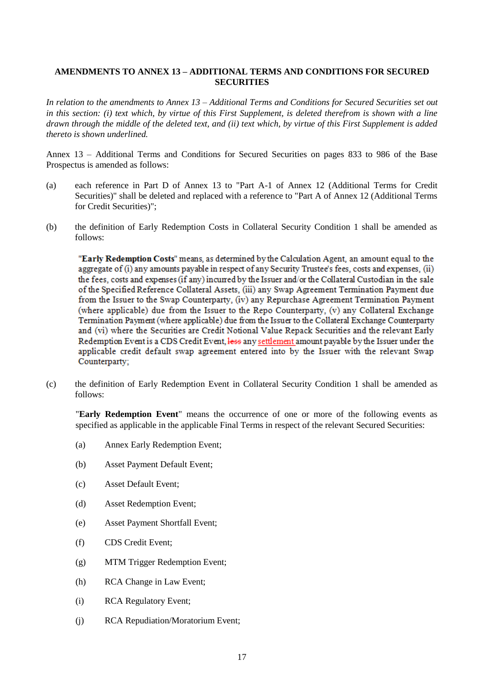## **AMENDMENTS TO ANNEX 13 – ADDITIONAL TERMS AND CONDITIONS FOR SECURED SECURITIES**

*In relation to the amendments to Annex 13 – Additional Terms and Conditions for Secured Securities set out in this section: (i) text which, by virtue of this First Supplement, is deleted therefrom is shown with a line drawn through the middle of the deleted text, and (ii) text which, by virtue of this First Supplement is added thereto is shown underlined.*

Annex 13 – Additional Terms and Conditions for Secured Securities on pages 833 to 986 of the Base Prospectus is amended as follows:

- (a) each reference in Part D of Annex 13 to "Part A-1 of Annex 12 (Additional Terms for Credit Securities)" shall be deleted and replaced with a reference to "Part A of Annex 12 (Additional Terms for Credit Securities)";
- (b) the definition of Early Redemption Costs in Collateral Security Condition 1 shall be amended as follows:

"Early Redemption Costs" means, as determined by the Calculation Agent, an amount equal to the aggregate of (i) any amounts payable in respect of any Security Trustee's fees, costs and expenses, (ii) the fees, costs and expenses (if any) incurred by the Issuer and/or the Collateral Custodian in the sale of the Specified Reference Collateral Assets, (iii) any Swap Agreement Termination Payment due from the Issuer to the Swap Counterparty, (iv) any Repurchase Agreement Termination Payment (where applicable) due from the Issuer to the Repo Counterparty. (v) any Collateral Exchange Termination Payment (where applicable) due from the Issuer to the Collateral Exchange Counterparty and (vi) where the Securities are Credit Notional Value Repack Securities and the relevant Early Redemption Event is a CDS Credit Event, less any settlement amount payable by the Issuer under the applicable credit default swap agreement entered into by the Issuer with the relevant Swap Counterparty;

(c) the definition of Early Redemption Event in Collateral Security Condition 1 shall be amended as follows:

"**Early Redemption Event**" means the occurrence of one or more of the following events as specified as applicable in the applicable Final Terms in respect of the relevant Secured Securities:

- (a) Annex Early Redemption Event;
- (b) Asset Payment Default Event;
- (c) Asset Default Event;
- (d) Asset Redemption Event;
- (e) Asset Payment Shortfall Event;
- (f) CDS Credit Event;
- (g) MTM Trigger Redemption Event;
- (h) RCA Change in Law Event;
- (i) RCA Regulatory Event;
- (j) RCA Repudiation/Moratorium Event;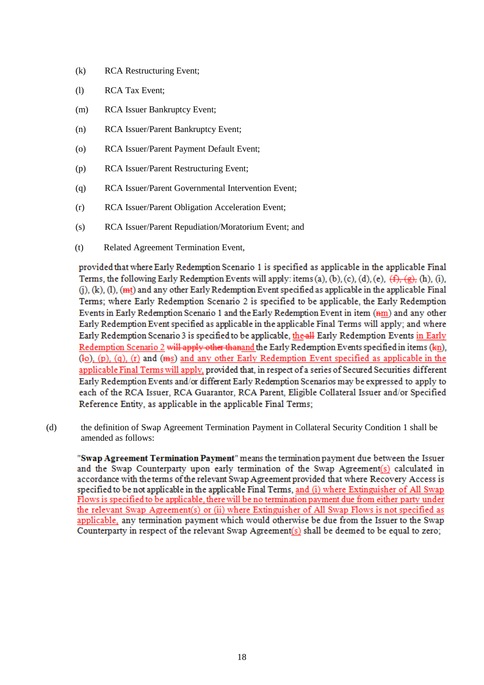- (k) RCA Restructuring Event;
- (l) RCA Tax Event;
- (m) RCA Issuer Bankruptcy Event;
- (n) RCA Issuer/Parent Bankruptcy Event;
- (o) RCA Issuer/Parent Payment Default Event;
- (p) RCA Issuer/Parent Restructuring Event;
- (q) RCA Issuer/Parent Governmental Intervention Event;
- (r) RCA Issuer/Parent Obligation Acceleration Event;
- (s) RCA Issuer/Parent Repudiation/Moratorium Event; and
- (t) Related Agreement Termination Event,

provided that where Early Redemption Scenario 1 is specified as applicable in the applicable Final Terms, the following Early Redemption Events will apply; items (a), (b), (c), (d), (e),  $(f)$ ,  $(g)$ , (h), (i),  $(i)$ ,  $(k)$ ,  $(l)$ ,  $(mt)$  and any other Early Redemption Event specified as applicable in the applicable Final Terms: where Early Redemption Scenario 2 is specified to be applicable, the Early Redemption Events in Early Redemption Scenario 1 and the Early Redemption Event in item (nm) and any other Early Redemption Event specified as applicable in the applicable Final Terms will apply; and where Early Redemption Scenario 3 is specified to be applicable, the all Early Redemption Events in Early Redemption Scenario 2 will apply other thanand the Early Redemption Events specified in items (kn),  $(10)$ ,  $(p)$ ,  $(q)$ ,  $(r)$  and  $(ms)$  and any other Early Redemption Event specified as applicable in the applicable Final Terms will apply, provided that, in respect of a series of Secured Securities different Early Redemption Events and/or different Early Redemption Scenarios may be expressed to apply to each of the RCA Issuer, RCA Guarantor, RCA Parent, Eligible Collateral Issuer and/or Specified Reference Entity, as applicable in the applicable Final Terms;

(d) the definition of Swap Agreement Termination Payment in Collateral Security Condition 1 shall be amended as follows:

"Swap Agreement Termination Payment" means the termination payment due between the Issuer and the Swap Counterparty upon early termination of the Swap Agreement(s) calculated in accordance with the terms of the relevant Swap Agreement provided that where Recovery Access is specified to be not applicable in the applicable Final Terms, and (i) where Extinguisher of All Swap Flows is specified to be applicable, there will be no termination payment due from either party under the relevant Swap Agreement(s) or (ii) where Extinguisher of All Swap Flows is not specified as applicable, any termination payment which would otherwise be due from the Issuer to the Swap Counterparty in respect of the relevant Swap Agreement(s) shall be deemed to be equal to zero;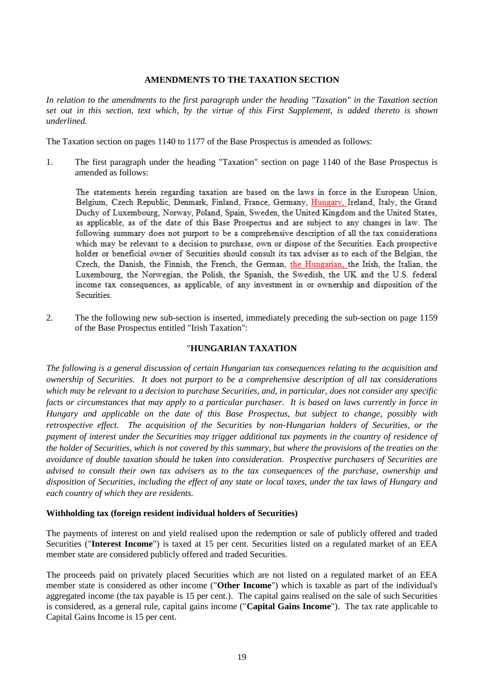## **AMENDMENTS TO THE TAXATION SECTION**

*In relation to the amendments to the first paragraph under the heading "Taxation" in the Taxation section set out in this section, text which, by the virtue of this First Supplement, is added thereto is shown underlined.*

The Taxation section on pages 1140 to 1177 of the Base Prospectus is amended as follows:

1. The first paragraph under the heading "Taxation" section on page 1140 of the Base Prospectus is amended as follows:

The statements herein regarding taxation are based on the laws in force in the European Union. Belgium, Czech Republic, Denmark, Finland, France, Germany, Hungary, Ireland, Italy, the Grand Duchy of Luxembourg, Norway, Poland, Spain, Sweden, the United Kingdom and the United States. as applicable, as of the date of this Base Prospectus and are subject to any changes in law. The following summary does not purport to be a comprehensive description of all the tax considerations which may be relevant to a decision to purchase, own or dispose of the Securities. Each prospective holder or beneficial owner of Securities should consult its tax adviser as to each of the Belgian, the Czech, the Danish, the Finnish, the French, the German, the Hungarian, the Irish, the Italian, the Luxembourg, the Norwegian, the Polish, the Spanish, the Swedish, the UK and the U.S. federal income tax consequences, as applicable, of any investment in or ownership and disposition of the Securities.

2. The the following new sub-section is inserted, immediately preceding the sub-section on page 1159 of the Base Prospectus entitled "Irish Taxation":

### "**HUNGARIAN TAXATION**

*The following is a general discussion of certain Hungarian tax consequences relating to the acquisition and ownership of Securities. It does not purport to be a comprehensive description of all tax considerations which may be relevant to a decision to purchase Securities, and, in particular, does not consider any specific facts or circumstances that may apply to a particular purchaser. It is based on laws currently in force in Hungary and applicable on the date of this Base Prospectus, but subject to change, possibly with retrospective effect. The acquisition of the Securities by non-Hungarian holders of Securities, or the payment of interest under the Securities may trigger additional tax payments in the country of residence of the holder of Securities, which is not covered by this summary, but where the provisions of the treaties on the avoidance of double taxation should be taken into consideration. Prospective purchasers of Securities are advised to consult their own tax advisers as to the tax consequences of the purchase, ownership and disposition of Securities, including the effect of any state or local taxes, under the tax laws of Hungary and each country of which they are residents.*

### **Withholding tax (foreign resident individual holders of Securities)**

The payments of interest on and yield realised upon the redemption or sale of publicly offered and traded Securities ("**Interest Income**") is taxed at 15 per cent. Securities listed on a regulated market of an EEA member state are considered publicly offered and traded Securities.

The proceeds paid on privately placed Securities which are not listed on a regulated market of an EEA member state is considered as other income ("**Other Income**") which is taxable as part of the individual's aggregated income (the tax payable is 15 per cent.). The capital gains realised on the sale of such Securities is considered, as a general rule, capital gains income ("**Capital Gains Income**"). The tax rate applicable to Capital Gains Income is 15 per cent.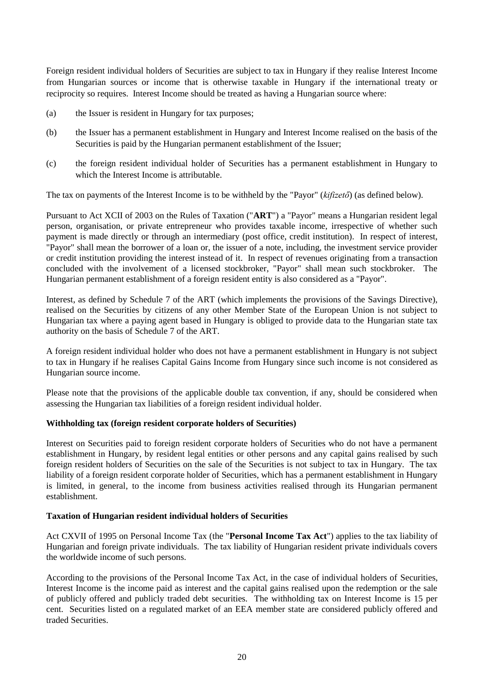Foreign resident individual holders of Securities are subject to tax in Hungary if they realise Interest Income from Hungarian sources or income that is otherwise taxable in Hungary if the international treaty or reciprocity so requires. Interest Income should be treated as having a Hungarian source where:

- (a) the Issuer is resident in Hungary for tax purposes;
- (b) the Issuer has a permanent establishment in Hungary and Interest Income realised on the basis of the Securities is paid by the Hungarian permanent establishment of the Issuer;
- (c) the foreign resident individual holder of Securities has a permanent establishment in Hungary to which the Interest Income is attributable.

The tax on payments of the Interest Income is to be withheld by the "Payor" (*kifizető*) (as defined below).

Pursuant to Act XCII of 2003 on the Rules of Taxation ("**ART**") a "Payor" means a Hungarian resident legal person, organisation, or private entrepreneur who provides taxable income, irrespective of whether such payment is made directly or through an intermediary (post office, credit institution). In respect of interest, "Payor" shall mean the borrower of a loan or, the issuer of a note, including, the investment service provider or credit institution providing the interest instead of it. In respect of revenues originating from a transaction concluded with the involvement of a licensed stockbroker, "Payor" shall mean such stockbroker. The Hungarian permanent establishment of a foreign resident entity is also considered as a "Payor".

Interest, as defined by Schedule 7 of the ART (which implements the provisions of the Savings Directive), realised on the Securities by citizens of any other Member State of the European Union is not subject to Hungarian tax where a paying agent based in Hungary is obliged to provide data to the Hungarian state tax authority on the basis of Schedule 7 of the ART.

A foreign resident individual holder who does not have a permanent establishment in Hungary is not subject to tax in Hungary if he realises Capital Gains Income from Hungary since such income is not considered as Hungarian source income.

Please note that the provisions of the applicable double tax convention, if any, should be considered when assessing the Hungarian tax liabilities of a foreign resident individual holder.

### **Withholding tax (foreign resident corporate holders of Securities)**

Interest on Securities paid to foreign resident corporate holders of Securities who do not have a permanent establishment in Hungary, by resident legal entities or other persons and any capital gains realised by such foreign resident holders of Securities on the sale of the Securities is not subject to tax in Hungary. The tax liability of a foreign resident corporate holder of Securities, which has a permanent establishment in Hungary is limited, in general, to the income from business activities realised through its Hungarian permanent establishment.

### **Taxation of Hungarian resident individual holders of Securities**

Act CXVII of 1995 on Personal Income Tax (the "**Personal Income Tax Act**") applies to the tax liability of Hungarian and foreign private individuals. The tax liability of Hungarian resident private individuals covers the worldwide income of such persons.

According to the provisions of the Personal Income Tax Act, in the case of individual holders of Securities, Interest Income is the income paid as interest and the capital gains realised upon the redemption or the sale of publicly offered and publicly traded debt securities. The withholding tax on Interest Income is 15 per cent. Securities listed on a regulated market of an EEA member state are considered publicly offered and traded Securities.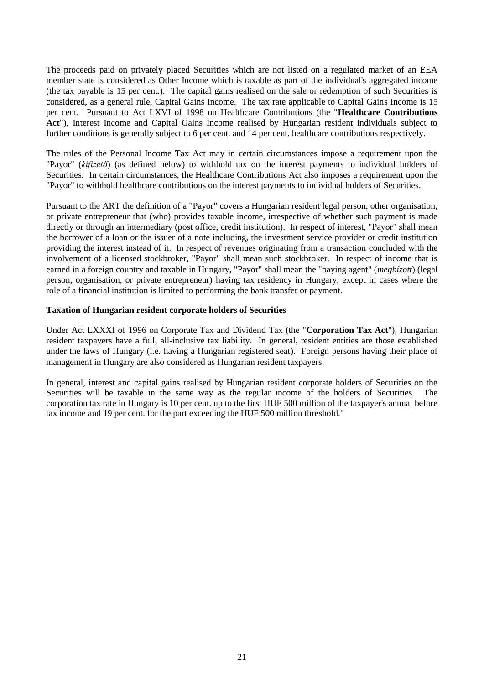The proceeds paid on privately placed Securities which are not listed on a regulated market of an EEA member state is considered as Other Income which is taxable as part of the individual's aggregated income (the tax payable is 15 per cent.). The capital gains realised on the sale or redemption of such Securities is considered, as a general rule, Capital Gains Income. The tax rate applicable to Capital Gains Income is 15 per cent. Pursuant to Act LXVI of 1998 on Healthcare Contributions (the "**Healthcare Contributions Act**"), Interest Income and Capital Gains Income realised by Hungarian resident individuals subject to further conditions is generally subject to 6 per cent. and 14 per cent. healthcare contributions respectively.

The rules of the Personal Income Tax Act may in certain circumstances impose a requirement upon the "Payor" (*kifizető*) (as defined below) to withhold tax on the interest payments to individual holders of Securities. In certain circumstances, the Healthcare Contributions Act also imposes a requirement upon the "Payor" to withhold healthcare contributions on the interest payments to individual holders of Securities.

Pursuant to the ART the definition of a "Payor" covers a Hungarian resident legal person, other organisation, or private entrepreneur that (who) provides taxable income, irrespective of whether such payment is made directly or through an intermediary (post office, credit institution). In respect of interest, "Payor" shall mean the borrower of a loan or the issuer of a note including, the investment service provider or credit institution providing the interest instead of it. In respect of revenues originating from a transaction concluded with the involvement of a licensed stockbroker, "Payor" shall mean such stockbroker. In respect of income that is earned in a foreign country and taxable in Hungary, "Payor" shall mean the "paying agent" (*megbízott*) (legal person, organisation, or private entrepreneur) having tax residency in Hungary, except in cases where the role of a financial institution is limited to performing the bank transfer or payment.

### **Taxation of Hungarian resident corporate holders of Securities**

Under Act LXXXI of 1996 on Corporate Tax and Dividend Tax (the "**Corporation Tax Act**"), Hungarian resident taxpayers have a full, all-inclusive tax liability. In general, resident entities are those established under the laws of Hungary (i.e. having a Hungarian registered seat). Foreign persons having their place of management in Hungary are also considered as Hungarian resident taxpayers.

In general, interest and capital gains realised by Hungarian resident corporate holders of Securities on the Securities will be taxable in the same way as the regular income of the holders of Securities. The corporation tax rate in Hungary is 10 per cent. up to the first HUF 500 million of the taxpayer's annual before tax income and 19 per cent. for the part exceeding the HUF 500 million threshold."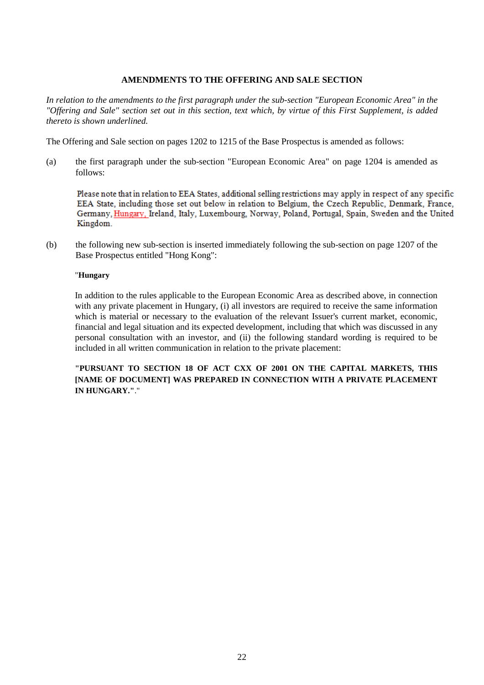## **AMENDMENTS TO THE OFFERING AND SALE SECTION**

*In relation to the amendments to the first paragraph under the sub-section "European Economic Area" in the "Offering and Sale" section set out in this section, text which, by virtue of this First Supplement, is added thereto is shown underlined.*

The Offering and Sale section on pages 1202 to 1215 of the Base Prospectus is amended as follows:

(a) the first paragraph under the sub-section "European Economic Area" on page 1204 is amended as follows:

Please note that in relation to EEA States, additional selling restrictions may apply in respect of any specific EEA State, including those set out below in relation to Belgium, the Czech Republic, Denmark, France, Germany, Hungary, Ireland, Italy, Luxembourg, Norway, Poland, Portugal, Spain, Sweden and the United Kingdom.

(b) the following new sub-section is inserted immediately following the sub-section on page 1207 of the Base Prospectus entitled "Hong Kong":

#### "**Hungary**

In addition to the rules applicable to the European Economic Area as described above, in connection with any private placement in Hungary, (i) all investors are required to receive the same information which is material or necessary to the evaluation of the relevant Issuer's current market, economic, financial and legal situation and its expected development, including that which was discussed in any personal consultation with an investor, and (ii) the following standard wording is required to be included in all written communication in relation to the private placement:

**"PURSUANT TO SECTION 18 OF ACT CXX OF 2001 ON THE CAPITAL MARKETS, THIS [NAME OF DOCUMENT] WAS PREPARED IN CONNECTION WITH A PRIVATE PLACEMENT IN HUNGARY."**."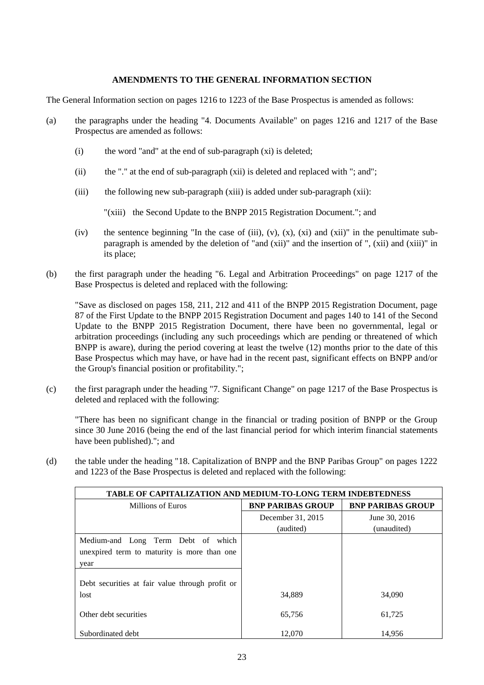## **AMENDMENTS TO THE GENERAL INFORMATION SECTION**

The General Information section on pages 1216 to 1223 of the Base Prospectus is amended as follows:

- (a) the paragraphs under the heading "4. Documents Available" on pages 1216 and 1217 of the Base Prospectus are amended as follows:
	- $(i)$  the word "and" at the end of sub-paragraph  $(x_i)$  is deleted;
	- (ii) the "." at the end of sub-paragraph (xii) is deleted and replaced with "; and";
	- (iii) the following new sub-paragraph (xiii) is added under sub-paragraph (xii):

"(xiii) the Second Update to the BNPP 2015 Registration Document."; and

- (iv) the sentence beginning "In the case of (iii), (v),  $(x)$ ,  $(x)$  and  $(xii)$ " in the penultimate subparagraph is amended by the deletion of "and (xii)" and the insertion of ", (xii) and (xiii)" in its place;
- (b) the first paragraph under the heading "6. Legal and Arbitration Proceedings" on page 1217 of the Base Prospectus is deleted and replaced with the following:

"Save as disclosed on pages 158, 211, 212 and 411 of the BNPP 2015 Registration Document, page 87 of the First Update to the BNPP 2015 Registration Document and pages 140 to 141 of the Second Update to the BNPP 2015 Registration Document, there have been no governmental, legal or arbitration proceedings (including any such proceedings which are pending or threatened of which BNPP is aware), during the period covering at least the twelve (12) months prior to the date of this Base Prospectus which may have, or have had in the recent past, significant effects on BNPP and/or the Group's financial position or profitability.";

(c) the first paragraph under the heading "7. Significant Change" on page 1217 of the Base Prospectus is deleted and replaced with the following:

"There has been no significant change in the financial or trading position of BNPP or the Group since 30 June 2016 (being the end of the last financial period for which interim financial statements have been published)."; and

(d) the table under the heading "18. Capitalization of BNPP and the BNP Paribas Group" on pages 1222 and 1223 of the Base Prospectus is deleted and replaced with the following:

| <b>TABLE OF CAPITALIZATION AND MEDIUM-TO-LONG TERM INDEBTEDNESS</b> |                          |                          |  |  |
|---------------------------------------------------------------------|--------------------------|--------------------------|--|--|
| Millions of Euros                                                   | <b>BNP PARIBAS GROUP</b> | <b>BNP PARIBAS GROUP</b> |  |  |
|                                                                     | December 31, 2015        | June 30, 2016            |  |  |
|                                                                     | (audited)                | (unaudited)              |  |  |
| Medium-and Long Term Debt of which                                  |                          |                          |  |  |
| unexpired term to maturity is more than one                         |                          |                          |  |  |
| year                                                                |                          |                          |  |  |
| Debt securities at fair value through profit or                     |                          |                          |  |  |
| lost                                                                | 34,889                   | 34,090                   |  |  |
| Other debt securities                                               | 65,756                   | 61,725                   |  |  |
| Subordinated debt                                                   | 12,070                   | 14.956                   |  |  |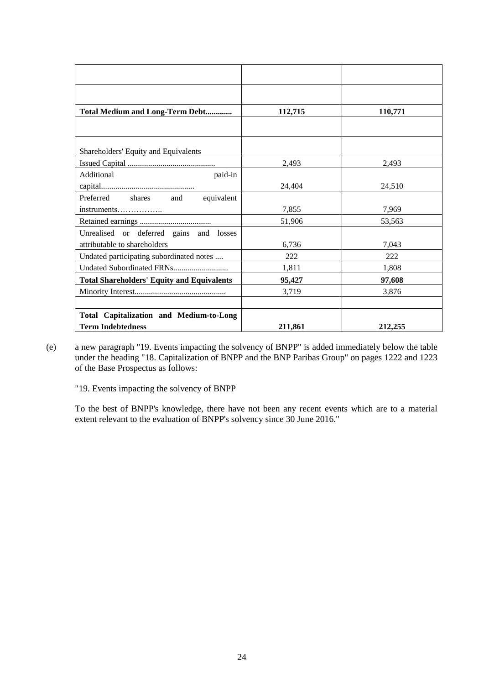| <b>Total Medium and Long-Term Debt</b>            | 112,715 | 110,771 |
|---------------------------------------------------|---------|---------|
|                                                   |         |         |
|                                                   |         |         |
| Shareholders' Equity and Equivalents              |         |         |
|                                                   | 2,493   | 2,493   |
| Additional<br>paid-in                             |         |         |
|                                                   | 24,404  | 24,510  |
| Preferred shares and<br>equivalent                |         |         |
| instruments                                       | 7,855   | 7,969   |
|                                                   | 51,906  | 53,563  |
| Unrealised or deferred gains and losses           |         |         |
| attributable to shareholders                      | 6,736   | 7,043   |
| Undated participating subordinated notes          | 222     | 222     |
|                                                   | 1,811   | 1,808   |
| <b>Total Shareholders' Equity and Equivalents</b> | 95,427  | 97,608  |
|                                                   | 3,719   | 3,876   |
|                                                   |         |         |
| <b>Total Capitalization and Medium-to-Long</b>    |         |         |
| <b>Term Indebtedness</b>                          | 211,861 | 212,255 |

(e) a new paragraph "19. Events impacting the solvency of BNPP" is added immediately below the table under the heading "18. Capitalization of BNPP and the BNP Paribas Group" on pages 1222 and 1223 of the Base Prospectus as follows:

"19. Events impacting the solvency of BNPP

To the best of BNPP's knowledge, there have not been any recent events which are to a material extent relevant to the evaluation of BNPP's solvency since 30 June 2016."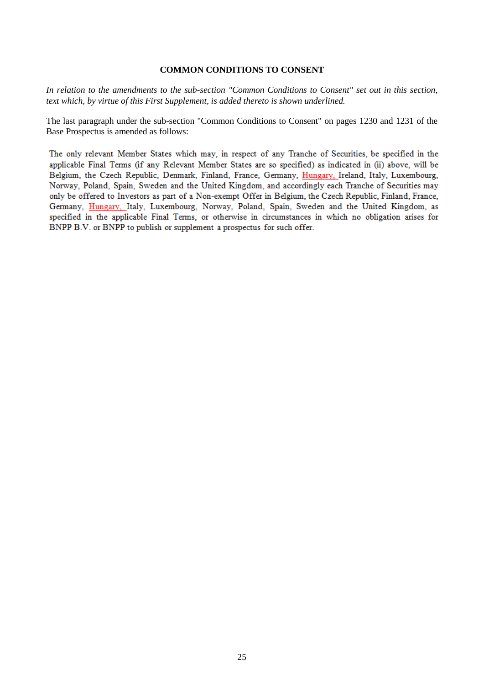#### **COMMON CONDITIONS TO CONSENT**

*In relation to the amendments to the sub-section "Common Conditions to Consent" set out in this section, text which, by virtue of this First Supplement, is added thereto is shown underlined.*

The last paragraph under the sub-section "Common Conditions to Consent" on pages 1230 and 1231 of the Base Prospectus is amended as follows:

The only relevant Member States which may, in respect of any Tranche of Securities, be specified in the applicable Final Terms (if any Relevant Member States are so specified) as indicated in (ii) above, will be Belgium, the Czech Republic, Denmark, Finland, France, Germany, Hungary, Ireland, Italy, Luxembourg, Norway, Poland, Spain, Sweden and the United Kingdom, and accordingly each Tranche of Securities may only be offered to Investors as part of a Non-exempt Offer in Belgium, the Czech Republic, Finland, France, Germany, Hungary, Italy, Luxembourg, Norway, Poland, Spain, Sweden and the United Kingdom, as specified in the applicable Final Terms, or otherwise in circumstances in which no obligation arises for BNPP B.V. or BNPP to publish or supplement a prospectus for such offer.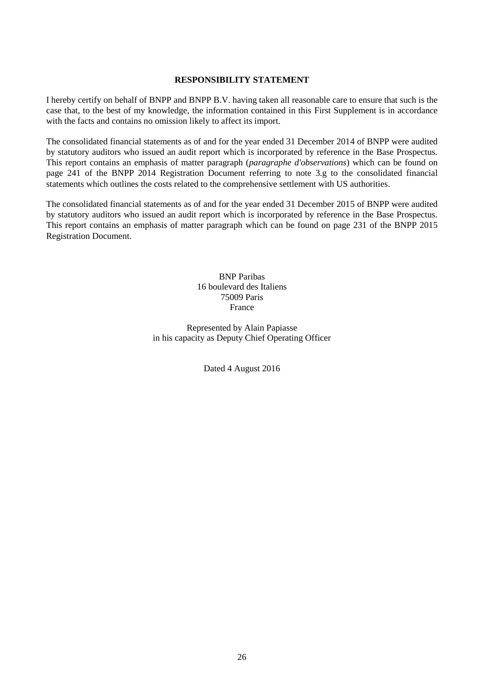### **RESPONSIBILITY STATEMENT**

I hereby certify on behalf of BNPP and BNPP B.V. having taken all reasonable care to ensure that such is the case that, to the best of my knowledge, the information contained in this First Supplement is in accordance with the facts and contains no omission likely to affect its import.

The consolidated financial statements as of and for the year ended 31 December 2014 of BNPP were audited by statutory auditors who issued an audit report which is incorporated by reference in the Base Prospectus. This report contains an emphasis of matter paragraph (*paragraphe d'observations*) which can be found on page 241 of the BNPP 2014 Registration Document referring to note 3.g to the consolidated financial statements which outlines the costs related to the comprehensive settlement with US authorities.

The consolidated financial statements as of and for the year ended 31 December 2015 of BNPP were audited by statutory auditors who issued an audit report which is incorporated by reference in the Base Prospectus. This report contains an emphasis of matter paragraph which can be found on page 231 of the BNPP 2015 Registration Document.

> BNP Paribas 16 boulevard des Italiens 75009 Paris France

Represented by Alain Papiasse in his capacity as Deputy Chief Operating Officer

Dated 4 August 2016